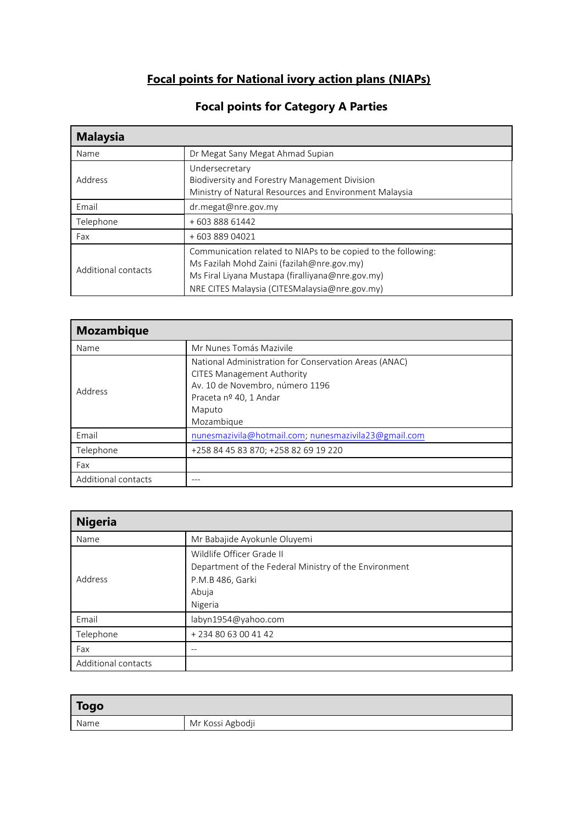## **Focal points for National ivory action plans (NIAPs)**

| <b>Malaysia</b>     |                                                                                                                                                                                                                  |
|---------------------|------------------------------------------------------------------------------------------------------------------------------------------------------------------------------------------------------------------|
| Name                | Dr Megat Sany Megat Ahmad Supian                                                                                                                                                                                 |
| Address             | Undersecretary<br>Biodiversity and Forestry Management Division<br>Ministry of Natural Resources and Environment Malaysia                                                                                        |
| Email               | $dr$ .megat@nre.gov.my                                                                                                                                                                                           |
| Telephone           | +60388861442                                                                                                                                                                                                     |
| Fax                 | +60388904021                                                                                                                                                                                                     |
| Additional contacts | Communication related to NIAPs to be copied to the following:<br>Ms Fazilah Mohd Zaini (fazilah@nre.gov.my)<br>Ms Firal Liyana Mustapa (firalliyana@nre.gov.my)<br>NRE CITES Malaysia (CITESMalaysia@nre.gov.my) |

## **Focal points for Category A Parties**

| <b>Mozambique</b>   |                                                                                                                                                                                 |
|---------------------|---------------------------------------------------------------------------------------------------------------------------------------------------------------------------------|
| Name                | Mr Nunes Tomás Mazivile                                                                                                                                                         |
| Address             | National Administration for Conservation Areas (ANAC)<br><b>CITES Management Authority</b><br>Av. 10 de Novembro, número 1196<br>Praceta nº 40, 1 Andar<br>Maputo<br>Mozambique |
| Email               | nunesmazivila@hotmail.com; nunesmazivila23@gmail.com                                                                                                                            |
| Telephone           | +258 84 45 83 870; +258 82 69 19 220                                                                                                                                            |
| Fax                 |                                                                                                                                                                                 |
| Additional contacts | ---                                                                                                                                                                             |

| <b>Nigeria</b>      |                                                                                                                            |
|---------------------|----------------------------------------------------------------------------------------------------------------------------|
| Name                | Mr Babajide Ayokunle Oluyemi                                                                                               |
| Address             | Wildlife Officer Grade II<br>Department of the Federal Ministry of the Environment<br>P.M.B 486, Garki<br>Abuja<br>Nigeria |
| Email               | labyn1954@yahoo.com                                                                                                        |
| Telephone           | +234 80 63 00 41 42                                                                                                        |
| Fax                 |                                                                                                                            |
| Additional contacts |                                                                                                                            |

| Togo |                  |
|------|------------------|
| Name | Mr Kossi Agbodji |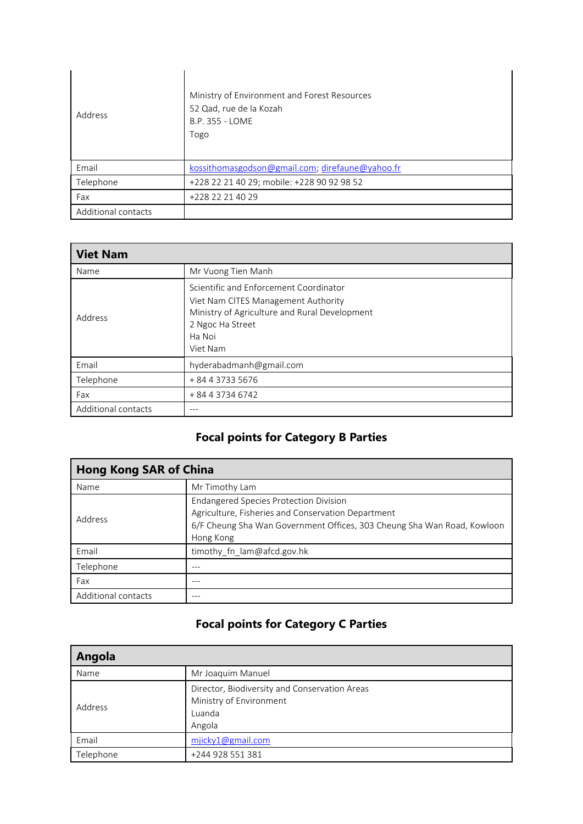| Address             | Ministry of Environment and Forest Resources<br>52 Qad, rue de la Kozah<br>B.P. 355 - LOME<br>Togo |
|---------------------|----------------------------------------------------------------------------------------------------|
| Email               | kossithomasgodson@gmail.com; direfaune@yahoo.fr                                                    |
| Telephone           | +228 22 21 40 29; mobile: +228 90 92 98 52                                                         |
| Fax                 | +228 22 21 40 29                                                                                   |
| Additional contacts |                                                                                                    |

| <b>Viet Nam</b>     |                                                                                                                                                                          |
|---------------------|--------------------------------------------------------------------------------------------------------------------------------------------------------------------------|
| Name                | Mr Vuong Tien Manh                                                                                                                                                       |
| Address             | Scientific and Enforcement Coordinator<br>Viet Nam CITES Management Authority<br>Ministry of Agriculture and Rural Development<br>2 Ngoc Ha Street<br>Ha Noi<br>Viet Nam |
| Email               | hyderabadmanh@gmail.com                                                                                                                                                  |
| Telephone           | + 84 4 3733 5676                                                                                                                                                         |
| Fax                 | + 84 4 3734 6742                                                                                                                                                         |
| Additional contacts | ---                                                                                                                                                                      |

## **Focal points for Category B Parties**

| <b>Hong Kong SAR of China</b> |                                                                                                                                                                                             |
|-------------------------------|---------------------------------------------------------------------------------------------------------------------------------------------------------------------------------------------|
| Name                          | Mr Timothy Lam                                                                                                                                                                              |
| Address                       | <b>Endangered Species Protection Division</b><br>Agriculture, Fisheries and Conservation Department<br>6/F Cheung Sha Wan Government Offices, 303 Cheung Sha Wan Road, Kowloon<br>Hong Kong |
| Email                         | timothy fn lam@afcd.gov.hk                                                                                                                                                                  |
| Telephone                     | ---                                                                                                                                                                                         |
| Fax                           |                                                                                                                                                                                             |
| Additional contacts           |                                                                                                                                                                                             |

## **Focal points for Category C Parties**

| Angola    |                                               |
|-----------|-----------------------------------------------|
| Name      | Mr Joaquim Manuel                             |
| Address   | Director, Biodiversity and Conservation Areas |
|           | Ministry of Environment                       |
|           | Luanda                                        |
|           | Angola                                        |
| Email     | mjicky1@gmail.com                             |
| Telephone | +244 928 551 381                              |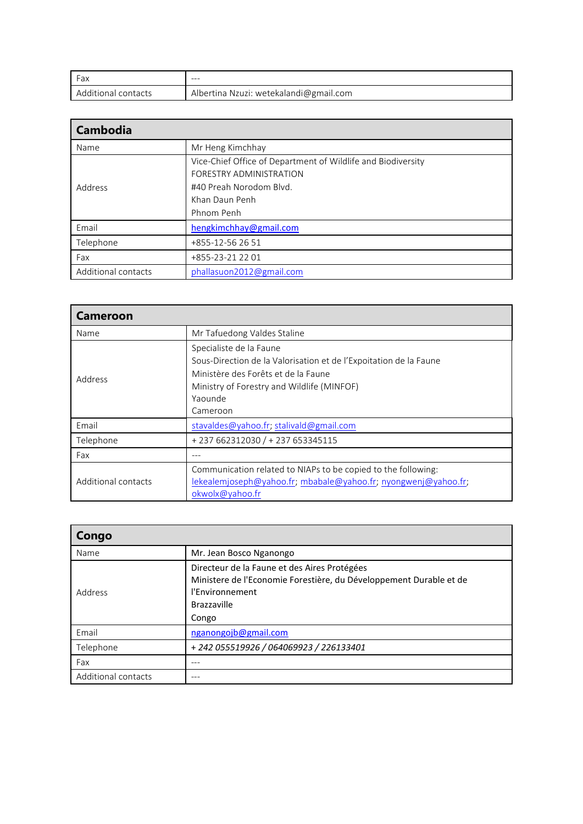| Fax                 | ---                                    |
|---------------------|----------------------------------------|
| Additional contacts | Albertina Nzuzi: wetekalandi@gmail.com |

| <b>Cambodia</b>     |                                                              |
|---------------------|--------------------------------------------------------------|
| Name                | Mr Heng Kimchhay                                             |
| Address             | Vice-Chief Office of Department of Wildlife and Biodiversity |
|                     | FORESTRY ADMINISTRATION                                      |
|                     | #40 Preah Norodom Blvd.                                      |
|                     | Khan Daun Penh                                               |
|                     | Phnom Penh                                                   |
| Email               | hengkimchhay@gmail.com                                       |
| Telephone           | +855-12-56 26 51                                             |
| Fax                 | +855-23-21 22 01                                             |
| Additional contacts | phallasuon2012@gmail.com                                     |

| <b>Cameroon</b>     |                                                                                                                                                                                                          |
|---------------------|----------------------------------------------------------------------------------------------------------------------------------------------------------------------------------------------------------|
| Name                | Mr Tafuedong Valdes Staline                                                                                                                                                                              |
| Address             | Specialiste de la Faune<br>Sous-Direction de la Valorisation et de l'Expoitation de la Faune<br>Ministère des Forêts et de la Faune<br>Ministry of Forestry and Wildlife (MINFOF)<br>Yaounde<br>Cameroon |
| Email               | stavaldes@yahoo.fr; stalivald@gmail.com                                                                                                                                                                  |
| Telephone           | +237 662312030 / +237 653345115                                                                                                                                                                          |
| Fax                 |                                                                                                                                                                                                          |
| Additional contacts | Communication related to NIAPs to be copied to the following:<br>lekealemjoseph@yahoo.fr; mbabale@yahoo.fr; nyongwenj@yahoo.fr;<br>okwolx@yahoo.fr                                                       |

| Congo               |                                                                                                                                                               |
|---------------------|---------------------------------------------------------------------------------------------------------------------------------------------------------------|
| Name                | Mr. Jean Bosco Nganongo                                                                                                                                       |
| Address             | Directeur de la Faune et des Aires Protégées<br>Ministere de l'Economie Forestière, du Développement Durable et de<br>l'Environnement<br>Brazzaville<br>Congo |
| Email               | nganongojb@gmail.com                                                                                                                                          |
| Telephone           | +242 055519926 / 064069923 / 226133401                                                                                                                        |
| Fax                 |                                                                                                                                                               |
| Additional contacts |                                                                                                                                                               |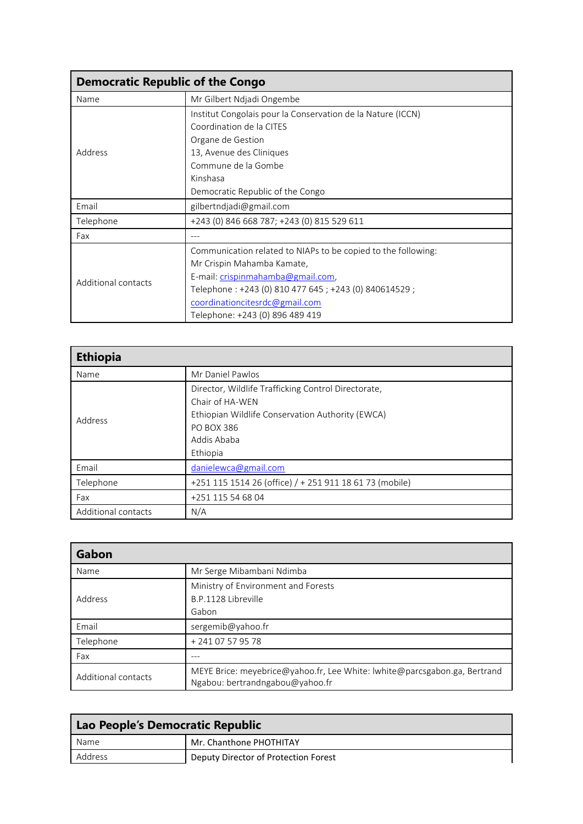| <b>Democratic Republic of the Congo</b> |                                                               |  |
|-----------------------------------------|---------------------------------------------------------------|--|
| Name                                    | Mr Gilbert Ndjadi Ongembe                                     |  |
| Address                                 | Institut Congolais pour la Conservation de la Nature (ICCN)   |  |
|                                         | Coordination de la CITES                                      |  |
|                                         | Organe de Gestion                                             |  |
|                                         | 13, Avenue des Cliniques                                      |  |
|                                         | Commune de la Gombe                                           |  |
|                                         | Kinshasa                                                      |  |
|                                         | Democratic Republic of the Congo                              |  |
| Email                                   | gilbertndjadi@gmail.com                                       |  |
| Telephone                               | +243 (0) 846 668 787; +243 (0) 815 529 611                    |  |
| Fax                                     |                                                               |  |
| Additional contacts                     | Communication related to NIAPs to be copied to the following: |  |
|                                         | Mr Crispin Mahamba Kamate,                                    |  |
|                                         | E-mail: crispinmahamba@gmail.com,                             |  |
|                                         | Telephone: +243 (0) 810 477 645 ; +243 (0) 840614529 ;        |  |
|                                         | coordinationcitesrdc@gmail.com                                |  |
|                                         | Telephone: +243 (0) 896 489 419                               |  |

| <b>Ethiopia</b>     |                                                                                                                                                                            |
|---------------------|----------------------------------------------------------------------------------------------------------------------------------------------------------------------------|
| Name                | Mr Daniel Pawlos                                                                                                                                                           |
| Address             | Director, Wildlife Trafficking Control Directorate,<br>Chair of HA-WEN<br>Ethiopian Wildlife Conservation Authority (EWCA)<br><b>PO BOX 386</b><br>Addis Ababa<br>Ethiopia |
| Email               | danielewca@gmail.com                                                                                                                                                       |
| Telephone           | +251 115 1514 26 (office) / + 251 911 18 61 73 (mobile)                                                                                                                    |
| Fax                 | +251 115 54 68 04                                                                                                                                                          |
| Additional contacts | N/A                                                                                                                                                                        |

| Gabon               |                                                                                                              |
|---------------------|--------------------------------------------------------------------------------------------------------------|
| Name                | Mr Serge Mibambani Ndimba                                                                                    |
| Address             | Ministry of Environment and Forests<br>B.P.1128 Libreville<br>Gabon                                          |
| Email               | sergemib@yahoo.fr                                                                                            |
| Telephone           | + 241 07 57 95 78                                                                                            |
| Fax                 |                                                                                                              |
| Additional contacts | MEYE Brice: meyebrice@yahoo.fr, Lee White: lwhite@parcsgabon.ga, Bertrand<br>Ngabou: bertrandngabou@yahoo.fr |

| $\Box$ Lao People's Democratic Republic |                                      |
|-----------------------------------------|--------------------------------------|
| Name                                    | Mr. Chanthone PHOTHITAY              |
| Address                                 | Deputy Director of Protection Forest |